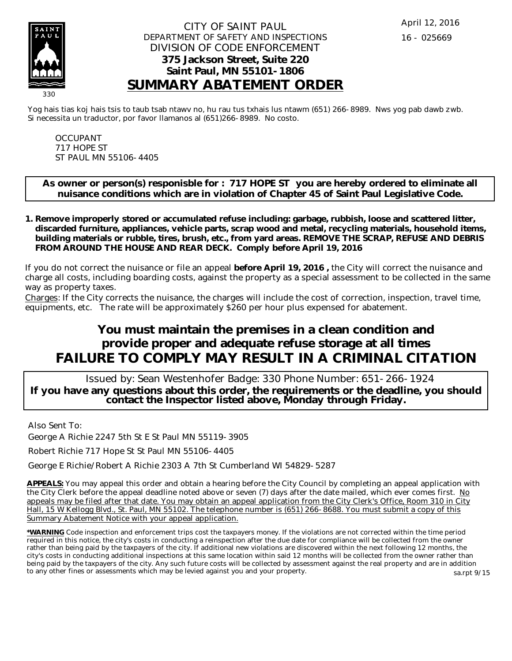

Yog hais tias koj hais tsis to taub tsab ntawv no, hu rau tus txhais lus ntawm (651) 266-8989. Nws yog pab dawb zwb. Si necessita un traductor, por favor llamanos al (651)266-8989. No costo.

OCCUPANT 717 HOPE ST ST PAUL MN 55106-4405

**As owner or person(s) responisble for : 717 HOPE ST you are hereby ordered to eliminate all nuisance conditions which are in violation of Chapter 45 of Saint Paul Legislative Code.**

**Remove improperly stored or accumulated refuse including: garbage, rubbish, loose and scattered litter, 1. discarded furniture, appliances, vehicle parts, scrap wood and metal, recycling materials, household items, building materials or rubble, tires, brush, etc., from yard areas. REMOVE THE SCRAP, REFUSE AND DEBRIS FROM AROUND THE HOUSE AND REAR DECK. Comply before April 19, 2016**

If you do not correct the nuisance or file an appeal **before April 19, 2016 ,** the City will correct the nuisance and charge all costs, including boarding costs, against the property as a special assessment to be collected in the same way as property taxes.

Charges: If the City corrects the nuisance, the charges will include the cost of correction, inspection, travel time, equipments, etc. The rate will be approximately \$260 per hour plus expensed for abatement.

# **You must maintain the premises in a clean condition and provide proper and adequate refuse storage at all times FAILURE TO COMPLY MAY RESULT IN A CRIMINAL CITATION**

 Issued by: Sean Westenhofer Badge: 330 Phone Number: 651-266-1924 **If you have any questions about this order, the requirements or the deadline, you should contact the Inspector listed above, Monday through Friday.**

Also Sent To:

George A Richie 2247 5th St E St Paul MN 55119-3905

Robert Richie 717 Hope St St Paul MN 55106-4405

George E Richie/Robert A Richie 2303 A 7th St Cumberland WI 54829-5287

**APPEALS:** You may appeal this order and obtain a hearing before the City Council by completing an appeal application with the City Clerk before the appeal deadline noted above or seven (7) days after the date mailed, which ever comes first. No appeals may be filed after that date. You may obtain an appeal application from the City Clerk's Office, Room 310 in City Hall, 15 W Kellogg Blvd., St. Paul, MN 55102. The telephone number is (651) 266-8688. You must submit a copy of this Summary Abatement Notice with your appeal application.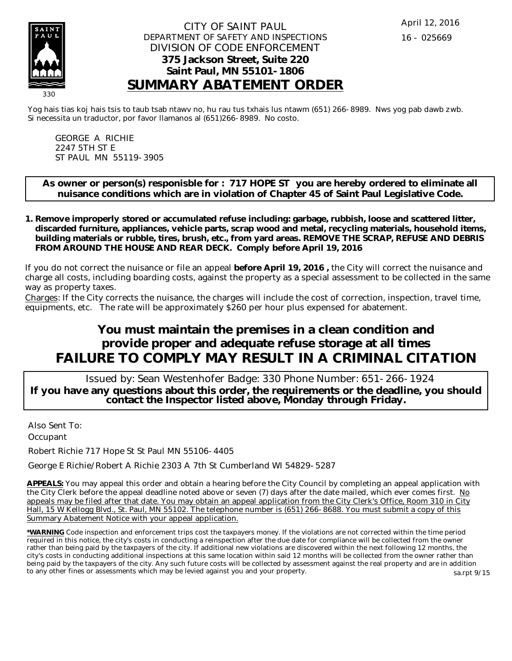

Yog hais tias koj hais tsis to taub tsab ntawv no, hu rau tus txhais lus ntawm (651) 266-8989. Nws yog pab dawb zwb. Si necessita un traductor, por favor llamanos al (651)266-8989. No costo.

GEORGE A RICHIE 2247 5TH ST E ST PAUL MN 55119-3905

**As owner or person(s) responisble for : 717 HOPE ST you are hereby ordered to eliminate all nuisance conditions which are in violation of Chapter 45 of Saint Paul Legislative Code.**

**Remove improperly stored or accumulated refuse including: garbage, rubbish, loose and scattered litter, 1. discarded furniture, appliances, vehicle parts, scrap wood and metal, recycling materials, household items, building materials or rubble, tires, brush, etc., from yard areas. REMOVE THE SCRAP, REFUSE AND DEBRIS FROM AROUND THE HOUSE AND REAR DECK. Comply before April 19, 2016**

If you do not correct the nuisance or file an appeal **before April 19, 2016 ,** the City will correct the nuisance and charge all costs, including boarding costs, against the property as a special assessment to be collected in the same way as property taxes.

Charges: If the City corrects the nuisance, the charges will include the cost of correction, inspection, travel time, equipments, etc. The rate will be approximately \$260 per hour plus expensed for abatement.

# **You must maintain the premises in a clean condition and provide proper and adequate refuse storage at all times FAILURE TO COMPLY MAY RESULT IN A CRIMINAL CITATION**

 Issued by: Sean Westenhofer Badge: 330 Phone Number: 651-266-1924 **If you have any questions about this order, the requirements or the deadline, you should contact the Inspector listed above, Monday through Friday.**

Also Sent To: **Occupant** 

Robert Richie 717 Hope St St Paul MN 55106-4405

George E Richie/Robert A Richie 2303 A 7th St Cumberland WI 54829-5287

**APPEALS:** You may appeal this order and obtain a hearing before the City Council by completing an appeal application with the City Clerk before the appeal deadline noted above or seven (7) days after the date mailed, which ever comes first. No appeals may be filed after that date. You may obtain an appeal application from the City Clerk's Office, Room 310 in City Hall, 15 W Kellogg Blvd., St. Paul, MN 55102. The telephone number is (651) 266-8688. You must submit a copy of this Summary Abatement Notice with your appeal application.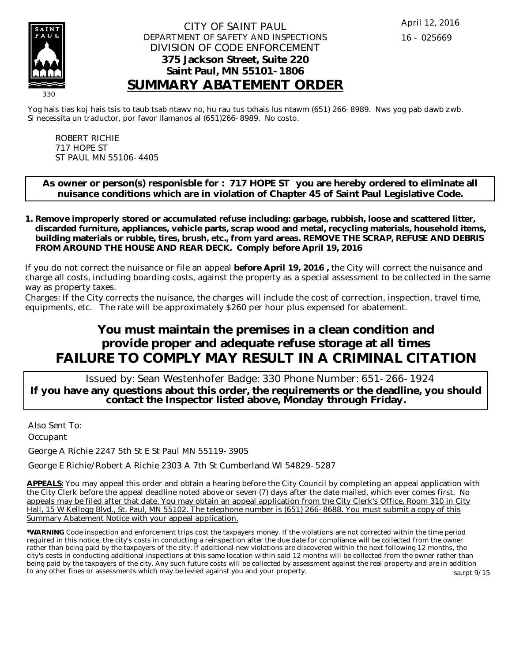

Yog hais tias koj hais tsis to taub tsab ntawv no, hu rau tus txhais lus ntawm (651) 266-8989. Nws yog pab dawb zwb. Si necessita un traductor, por favor llamanos al (651)266-8989. No costo.

ROBERT RICHIE 717 HOPE ST ST PAUL MN 55106-4405

**As owner or person(s) responisble for : 717 HOPE ST you are hereby ordered to eliminate all nuisance conditions which are in violation of Chapter 45 of Saint Paul Legislative Code.**

**Remove improperly stored or accumulated refuse including: garbage, rubbish, loose and scattered litter, 1. discarded furniture, appliances, vehicle parts, scrap wood and metal, recycling materials, household items, building materials or rubble, tires, brush, etc., from yard areas. REMOVE THE SCRAP, REFUSE AND DEBRIS FROM AROUND THE HOUSE AND REAR DECK. Comply before April 19, 2016**

If you do not correct the nuisance or file an appeal **before April 19, 2016 ,** the City will correct the nuisance and charge all costs, including boarding costs, against the property as a special assessment to be collected in the same way as property taxes.

Charges: If the City corrects the nuisance, the charges will include the cost of correction, inspection, travel time, equipments, etc. The rate will be approximately \$260 per hour plus expensed for abatement.

# **You must maintain the premises in a clean condition and provide proper and adequate refuse storage at all times FAILURE TO COMPLY MAY RESULT IN A CRIMINAL CITATION**

 Issued by: Sean Westenhofer Badge: 330 Phone Number: 651-266-1924 **If you have any questions about this order, the requirements or the deadline, you should contact the Inspector listed above, Monday through Friday.**

Also Sent To: **Occupant** 

George A Richie 2247 5th St E St Paul MN 55119-3905

George E Richie/Robert A Richie 2303 A 7th St Cumberland WI 54829-5287

**APPEALS:** You may appeal this order and obtain a hearing before the City Council by completing an appeal application with the City Clerk before the appeal deadline noted above or seven (7) days after the date mailed, which ever comes first. No appeals may be filed after that date. You may obtain an appeal application from the City Clerk's Office, Room 310 in City Hall, 15 W Kellogg Blvd., St. Paul, MN 55102. The telephone number is (651) 266-8688. You must submit a copy of this Summary Abatement Notice with your appeal application.